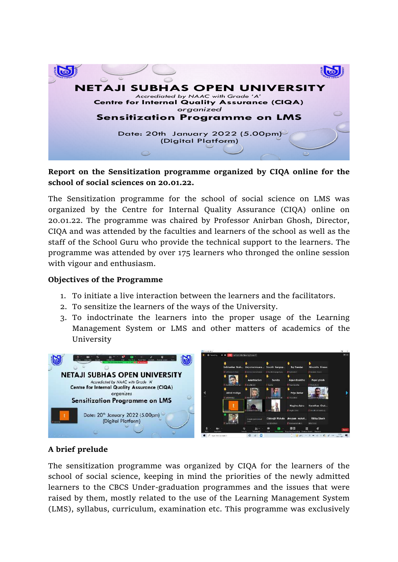

## **Report on the Sensitization programme organized by CIQA online for the school of social sciences on 20.01.22.**

The Sensitization programme for the school of social science on LMS was organized by the Centre for Internal Quality Assurance (CIQA) online on 20.01.22. The programme was chaired by Professor Anirban Ghosh, Director, CIQA and was attended by the faculties and learners of the school as well as the staff of the School Guru who provide the technical support to the learners. The programme was attended by over 175 learners who thronged the online session with vigour and enthusiasm.

### **Objectives of the Programme**

- 1. To initiate a live interaction between the learners and the facilitators.
- 2. To sensitize the learners of the ways of the University.
- 3. To indoctrinate the learners into the proper usage of the Learning Management System or LMS and other matters of academics of the University



## **A brief prelude**

The sensitization programme was organized by CIQA for the learners of the school of social science, keeping in mind the priorities of the newly admitted learners to the CBCS Under-graduation programmes and the issues that were raised by them, mostly related to the use of the Learning Management System (LMS), syllabus, curriculum, examination etc. This programme was exclusively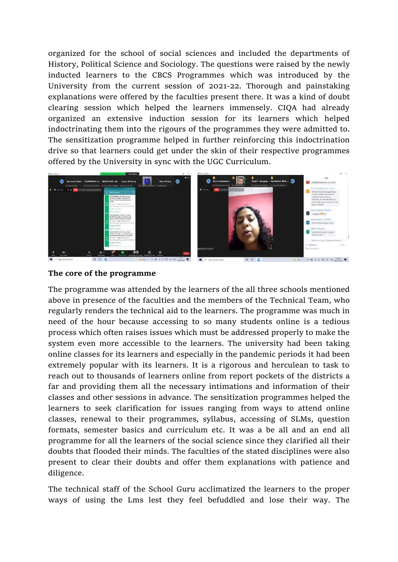organized for the school of social sciences and included the departments of History, Political Science and Sociology. The questions were raised by the newly inducted learners to the CBCS Programmes which was introduced by the University from the current session of 2021-22. Thorough and painstaking explanations were offered by the faculties present there. It was a kind of doubt clearing session which helped the learners immensely. CIQA had already organized an extensive induction session for its learners which helped indoctrinating them into the rigours of the programmes they were admitted to. The sensitization programme helped in further reinforcing this indoctrination drive so that learners could get under the skin of their respective programmes offered by the University in sync with the UGC Curriculum.



#### **The core of the programme**

The programme was attended by the learners of the all three schools mentioned above in presence of the faculties and the members of the Technical Team, who regularly renders the technical aid to the learners. The programme was much in need of the hour because accessing to so many students online is a tedious process which often raises issues which must be addressed properly to make the system even more accessible to the learners. The university had been taking online classes for its learners and especially in the pandemic periods it had been extremely popular with its learners. It is a rigorous and herculean to task to reach out to thousands of learners online from report pockets of the districts a far and providing them all the necessary intimations and information of their classes and other sessions in advance. The sensitization programmes helped the learners to seek clarification for issues ranging from ways to attend online classes, renewal to their programmes, syllabus, accessing of SLMs, question formats, semester basics and curriculum etc. It was a be all and an end all programme for all the learners of the social science since they clarified all their doubts that flooded their minds. The faculties of the stated disciplines were also present to clear their doubts and offer them explanations with patience and diligence.

The technical staff of the School Guru acclimatized the learners to the proper ways of using the Lms lest they feel befuddled and lose their way. The